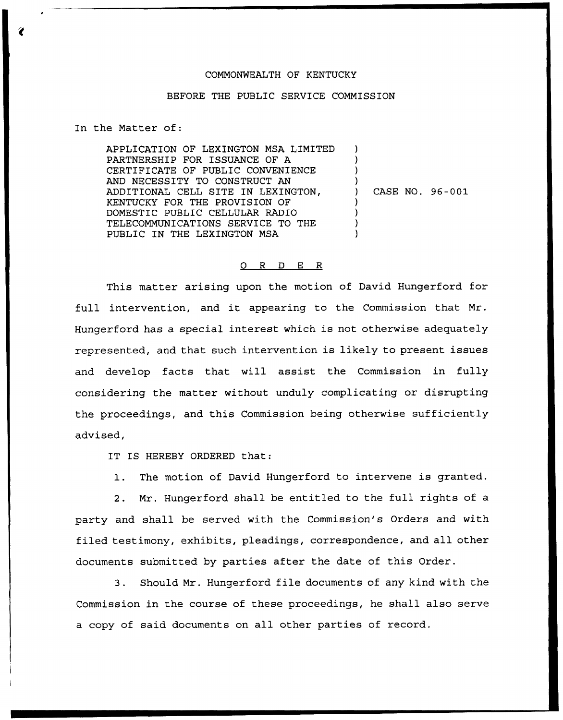## COMMONWEALTH OF KENTUCKY

## BEFORE THE PUBLIC SERVICE COMMISSION

In the Matter of:

APPLICATION OF LEXINGTON MSA LIMITED PARTNERSHIP FOR ISSUANCE OF A CERTIFICATE OF PUBLIC CONVENIENCE AND NECESSITY TO CONSTRUCT AN ADDITIONAL CELL SITE IN LEXINGTON, KENTUCKY FOR THE PROVISION OF DOMESTIC PUBLIC CELLULAR RADIO TELECOMMUNICATIONS SERVICE TO THE PUBLIC IN THE LEXINGTON MSA ) ) ) ) ) CASE NO. 96-001 ) ) ) )

## 0 R <sup>D</sup> E R

This matter arising upon the motion of David Hungerford for full intervention, and it appearing to the Commission that Mr. Hungerford has a special interest which is not otherwise adequately represented, and that such intervention is likely to present issues and develop facts that will assist the Commission in fully considering the matter without unduly complicating or disrupting the proceedings, and this Commission being otherwise sufficiently advised,

IT IS HEREBY ORDERED that:

1. The motion of David Hungerford to intervene is granted.

2. Mr. Hungerford shall be entitled to the full rights of a party and shall be served with the Commission's Orders and with filed testimony, exhibits, pleadings, correspondence, and all other documents submitted by parties after the date of this Order.

3. Should Mr. Hungerford file documents of any kind with the Commission in the course of these proceedings, he shall also serve a copy of said documents on all other parties of record.